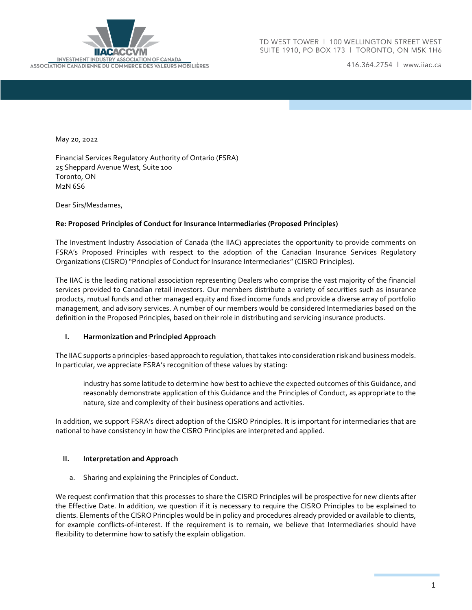

416.364.2754 | www.iiac.ca

May 20, 2022

Financial Services Regulatory Authority of Ontario (FSRA) 25 Sheppard Avenue West, Suite 100 Toronto, ON M2N 6S6

Dear Sirs/Mesdames,

#### **Re: Proposed Principles of Conduct for Insurance Intermediaries (Proposed Principles)**

The Investment Industry Association of Canada (the IIAC) appreciates the opportunity to provide comments on FSRA's Proposed Principles with respect to the adoption of the Canadian Insurance Services Regulatory Organizations (CISRO) "Principles of Conduct for Insurance Intermediaries" (CISRO Principles).

The IIAC is the leading national association representing Dealers who comprise the vast majority of the financial services provided to Canadian retail investors. Our members distribute a variety of securities such as insurance products, mutual funds and other managed equity and fixed income funds and provide a diverse array of portfolio management, and advisory services. A number of our members would be considered Intermediaries based on the definition in the Proposed Principles, based on their role in distributing and servicing insurance products.

#### **I. Harmonization and Principled Approach**

The IIAC supports a principles-based approach to regulation, that takes into consideration risk and business models. In particular, we appreciate FSRA's recognition of these values by stating:

industry has some latitude to determine how best to achieve the expected outcomes of this Guidance, and reasonably demonstrate application of this Guidance and the Principles of Conduct, as appropriate to the nature, size and complexity of their business operations and activities.

In addition, we support FSRA's direct adoption of the CISRO Principles. It is important for intermediaries that are national to have consistency in how the CISRO Principles are interpreted and applied.

#### **II. Interpretation and Approach**

a. Sharing and explaining the Principles of Conduct.

We request confirmation that this processes to share the CISRO Principles will be prospective for new clients after the Effective Date. In addition, we question if it is necessary to require the CISRO Principles to be explained to clients. Elements of the CISRO Principles would be in policy and procedures already provided or available to clients, for example conflicts-of-interest. If the requirement is to remain, we believe that Intermediaries should have flexibility to determine how to satisfy the explain obligation.